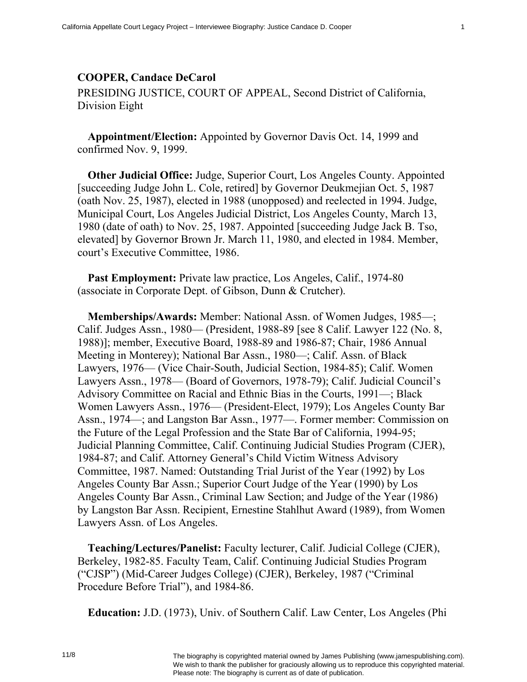## **COOPER, Candace DeCarol**

PRESIDING JUSTICE, COURT OF APPEAL, Second District of California, Division Eight

**Appointment/Election:** Appointed by Governor Davis Oct. 14, 1999 and confirmed Nov. 9, 1999.

**Other Judicial Office:** Judge, Superior Court, Los Angeles County. Appointed [succeeding Judge John L. Cole, retired] by Governor Deukmejian Oct. 5, 1987 (oath Nov. 25, 1987), elected in 1988 (unopposed) and reelected in 1994. Judge, Municipal Court, Los Angeles Judicial District, Los Angeles County, March 13, 1980 (date of oath) to Nov. 25, 1987. Appointed [succeeding Judge Jack B. Tso, elevated] by Governor Brown Jr. March 11, 1980, and elected in 1984. Member, court's Executive Committee, 1986.

**Past Employment:** Private law practice, Los Angeles, Calif., 1974-80 (associate in Corporate Dept. of Gibson, Dunn & Crutcher).

**Memberships/Awards:** Member: National Assn. of Women Judges, 1985—; Calif. Judges Assn., 1980— (President, 1988-89 [see 8 Calif. Lawyer 122 (No. 8, 1988)]; member, Executive Board, 1988-89 and 1986-87; Chair, 1986 Annual Meeting in Monterey); National Bar Assn., 1980—; Calif. Assn. of Black Lawyers, 1976— (Vice Chair-South, Judicial Section, 1984-85); Calif. Women Lawyers Assn., 1978— (Board of Governors, 1978-79); Calif. Judicial Council's Advisory Committee on Racial and Ethnic Bias in the Courts, 1991—; Black Women Lawyers Assn., 1976— (President-Elect, 1979); Los Angeles County Bar Assn., 1974—; and Langston Bar Assn., 1977—. Former member: Commission on the Future of the Legal Profession and the State Bar of California, 1994-95; Judicial Planning Committee, Calif. Continuing Judicial Studies Program (CJER), 1984-87; and Calif. Attorney General's Child Victim Witness Advisory Committee, 1987. Named: Outstanding Trial Jurist of the Year (1992) by Los Angeles County Bar Assn.; Superior Court Judge of the Year (1990) by Los Angeles County Bar Assn., Criminal Law Section; and Judge of the Year (1986) by Langston Bar Assn. Recipient, Ernestine Stahlhut Award (1989), from Women Lawyers Assn. of Los Angeles.

**Teaching/Lectures/Panelist:** Faculty lecturer, Calif. Judicial College (CJER), Berkeley, 1982-85. Faculty Team, Calif. Continuing Judicial Studies Program ("CJSP") (Mid-Career Judges College) (CJER), Berkeley, 1987 ("Criminal Procedure Before Trial"), and 1984-86.

**Education:** J.D. (1973), Univ. of Southern Calif. Law Center, Los Angeles (Phi